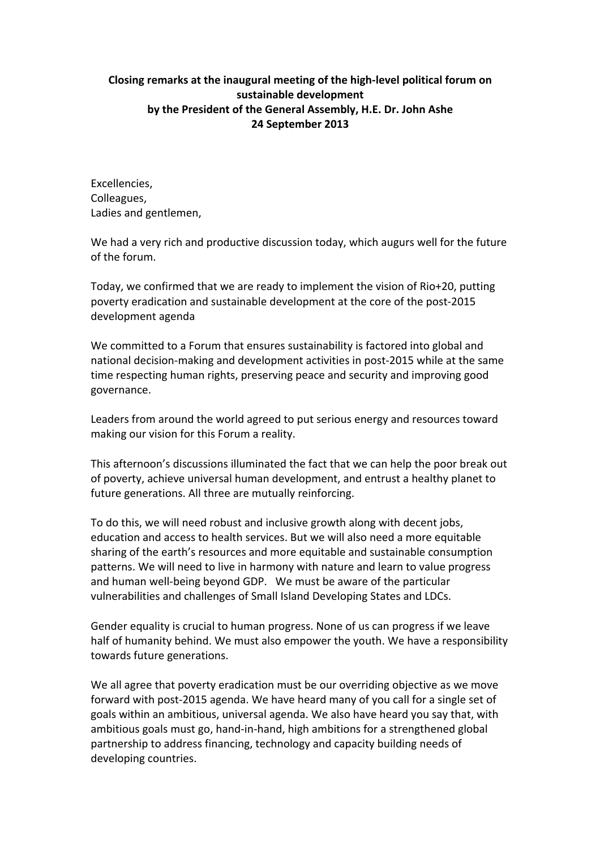## **Closing remarks at the inaugural meeting of the high-level political forum on sustainable development** by the President of the General Assembly, H.E. Dr. John Ashe **24 September 2013**

Excellencies, Colleagues, Ladies and gentlemen,

We had a very rich and productive discussion today, which augurs well for the future of the forum.

Today, we confirmed that we are ready to implement the vision of Rio+20, putting poverty eradication and sustainable development at the core of the post-2015 development agenda

We committed to a Forum that ensures sustainability is factored into global and national decision-making and development activities in post-2015 while at the same time respecting human rights, preserving peace and security and improving good governance.

Leaders from around the world agreed to put serious energy and resources toward making our vision for this Forum a reality.

This afternoon's discussions illuminated the fact that we can help the poor break out of poverty, achieve universal human development, and entrust a healthy planet to future generations. All three are mutually reinforcing.

To do this, we will need robust and inclusive growth along with decent jobs, education and access to health services. But we will also need a more equitable sharing of the earth's resources and more equitable and sustainable consumption patterns. We will need to live in harmony with nature and learn to value progress and human well-being beyond GDP. We must be aware of the particular vulnerabilities and challenges of Small Island Developing States and LDCs.

Gender equality is crucial to human progress. None of us can progress if we leave half of humanity behind. We must also empower the youth. We have a responsibility towards future generations.

We all agree that poverty eradication must be our overriding objective as we move forward with post-2015 agenda. We have heard many of you call for a single set of goals within an ambitious, universal agenda. We also have heard you say that, with ambitious goals must go, hand-in-hand, high ambitions for a strengthened global partnership to address financing, technology and capacity building needs of developing countries.